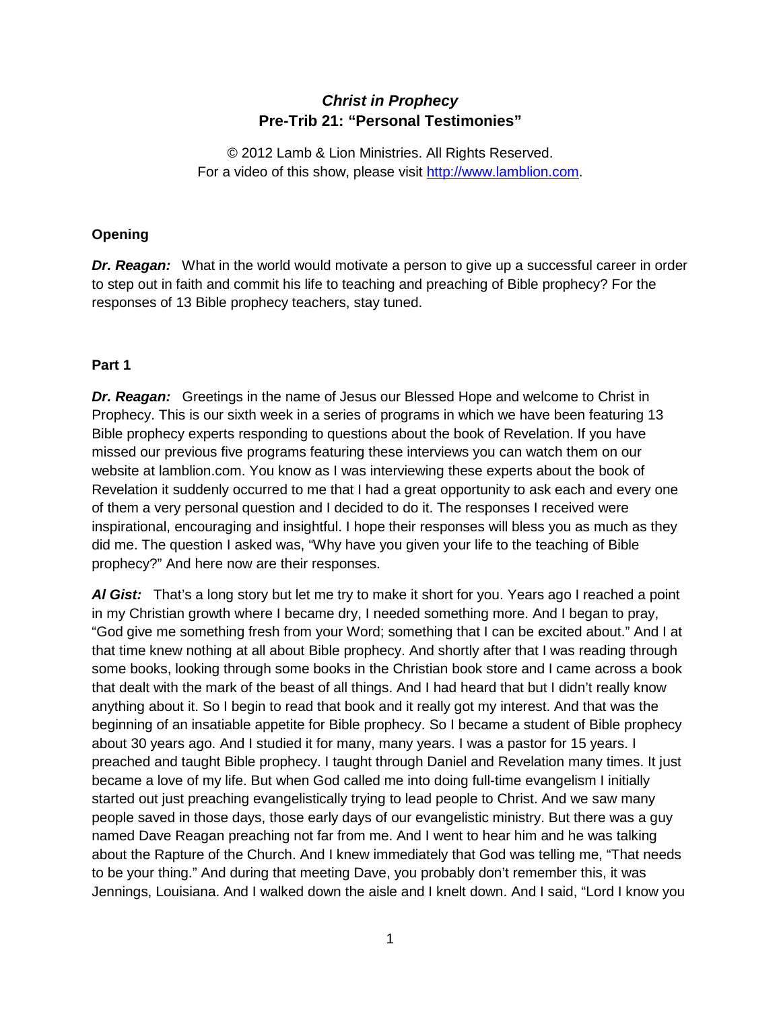# *Christ in Prophecy* **Pre-Trib 21: "Personal Testimonies"**

© 2012 Lamb & Lion Ministries. All Rights Reserved. For a video of this show, please visit [http://www.lamblion.com.](http://www.lamblion.com/)

## **Opening**

**Dr. Reagan:** What in the world would motivate a person to give up a successful career in order to step out in faith and commit his life to teaching and preaching of Bible prophecy? For the responses of 13 Bible prophecy teachers, stay tuned.

### **Part 1**

*Dr. Reagan:* Greetings in the name of Jesus our Blessed Hope and welcome to Christ in Prophecy. This is our sixth week in a series of programs in which we have been featuring 13 Bible prophecy experts responding to questions about the book of Revelation. If you have missed our previous five programs featuring these interviews you can watch them on our website at lamblion.com. You know as I was interviewing these experts about the book of Revelation it suddenly occurred to me that I had a great opportunity to ask each and every one of them a very personal question and I decided to do it. The responses I received were inspirational, encouraging and insightful. I hope their responses will bless you as much as they did me. The question I asked was, "Why have you given your life to the teaching of Bible prophecy?" And here now are their responses.

*Al Gist:* That's a long story but let me try to make it short for you. Years ago I reached a point in my Christian growth where I became dry, I needed something more. And I began to pray, "God give me something fresh from your Word; something that I can be excited about." And I at that time knew nothing at all about Bible prophecy. And shortly after that I was reading through some books, looking through some books in the Christian book store and I came across a book that dealt with the mark of the beast of all things. And I had heard that but I didn't really know anything about it. So I begin to read that book and it really got my interest. And that was the beginning of an insatiable appetite for Bible prophecy. So I became a student of Bible prophecy about 30 years ago. And I studied it for many, many years. I was a pastor for 15 years. I preached and taught Bible prophecy. I taught through Daniel and Revelation many times. It just became a love of my life. But when God called me into doing full-time evangelism I initially started out just preaching evangelistically trying to lead people to Christ. And we saw many people saved in those days, those early days of our evangelistic ministry. But there was a guy named Dave Reagan preaching not far from me. And I went to hear him and he was talking about the Rapture of the Church. And I knew immediately that God was telling me, "That needs to be your thing." And during that meeting Dave, you probably don't remember this, it was Jennings, Louisiana. And I walked down the aisle and I knelt down. And I said, "Lord I know you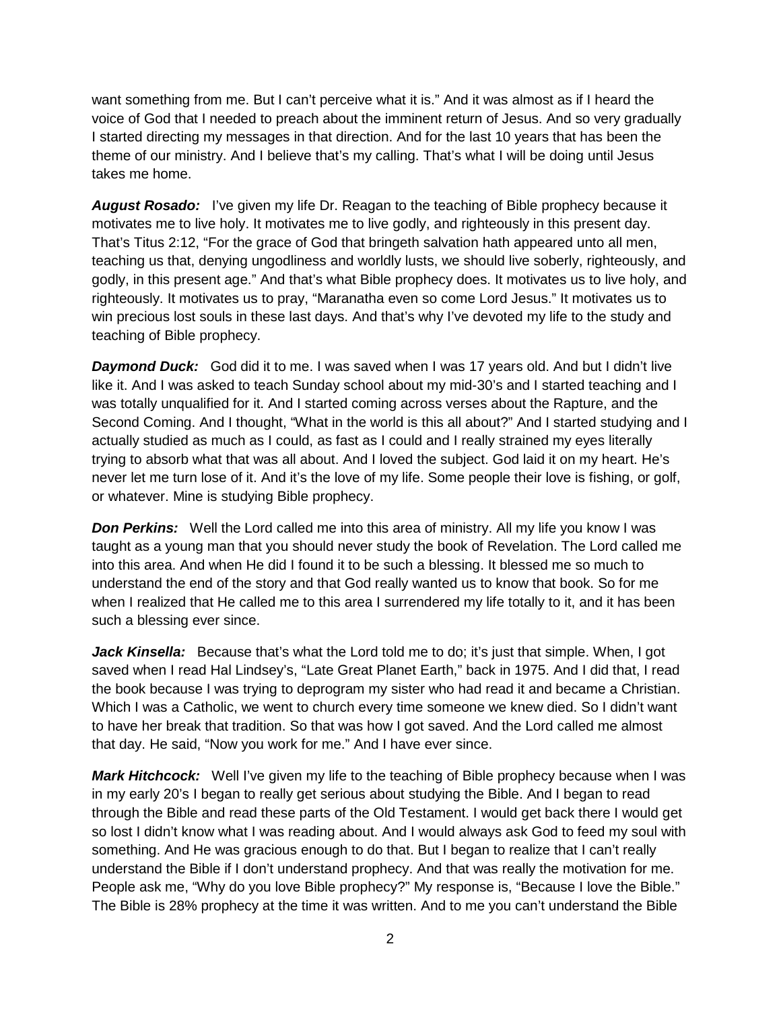want something from me. But I can't perceive what it is." And it was almost as if I heard the voice of God that I needed to preach about the imminent return of Jesus. And so very gradually I started directing my messages in that direction. And for the last 10 years that has been the theme of our ministry. And I believe that's my calling. That's what I will be doing until Jesus takes me home.

*August Rosado:* I've given my life Dr. Reagan to the teaching of Bible prophecy because it motivates me to live holy. It motivates me to live godly, and righteously in this present day. That's Titus 2:12, "For the grace of God that bringeth salvation hath appeared unto all men, teaching us that, denying ungodliness and worldly lusts, we should live soberly, righteously, and godly, in this present age." And that's what Bible prophecy does. It motivates us to live holy, and righteously. It motivates us to pray, "Maranatha even so come Lord Jesus." It motivates us to win precious lost souls in these last days. And that's why I've devoted my life to the study and teaching of Bible prophecy.

**Daymond Duck:** God did it to me. I was saved when I was 17 years old. And but I didn't live like it. And I was asked to teach Sunday school about my mid-30's and I started teaching and I was totally unqualified for it. And I started coming across verses about the Rapture, and the Second Coming. And I thought, "What in the world is this all about?" And I started studying and I actually studied as much as I could, as fast as I could and I really strained my eyes literally trying to absorb what that was all about. And I loved the subject. God laid it on my heart. He's never let me turn lose of it. And it's the love of my life. Some people their love is fishing, or golf, or whatever. Mine is studying Bible prophecy.

**Don Perkins:** Well the Lord called me into this area of ministry. All my life you know I was taught as a young man that you should never study the book of Revelation. The Lord called me into this area. And when He did I found it to be such a blessing. It blessed me so much to understand the end of the story and that God really wanted us to know that book. So for me when I realized that He called me to this area I surrendered my life totally to it, and it has been such a blessing ever since.

Jack Kinsella: Because that's what the Lord told me to do; it's just that simple. When, I got saved when I read Hal Lindsey's, "Late Great Planet Earth," back in 1975. And I did that, I read the book because I was trying to deprogram my sister who had read it and became a Christian. Which I was a Catholic, we went to church every time someone we knew died. So I didn't want to have her break that tradition. So that was how I got saved. And the Lord called me almost that day. He said, "Now you work for me." And I have ever since.

*Mark Hitchcock:* Well I've given my life to the teaching of Bible prophecy because when I was in my early 20's I began to really get serious about studying the Bible. And I began to read through the Bible and read these parts of the Old Testament. I would get back there I would get so lost I didn't know what I was reading about. And I would always ask God to feed my soul with something. And He was gracious enough to do that. But I began to realize that I can't really understand the Bible if I don't understand prophecy. And that was really the motivation for me. People ask me, "Why do you love Bible prophecy?" My response is, "Because I love the Bible." The Bible is 28% prophecy at the time it was written. And to me you can't understand the Bible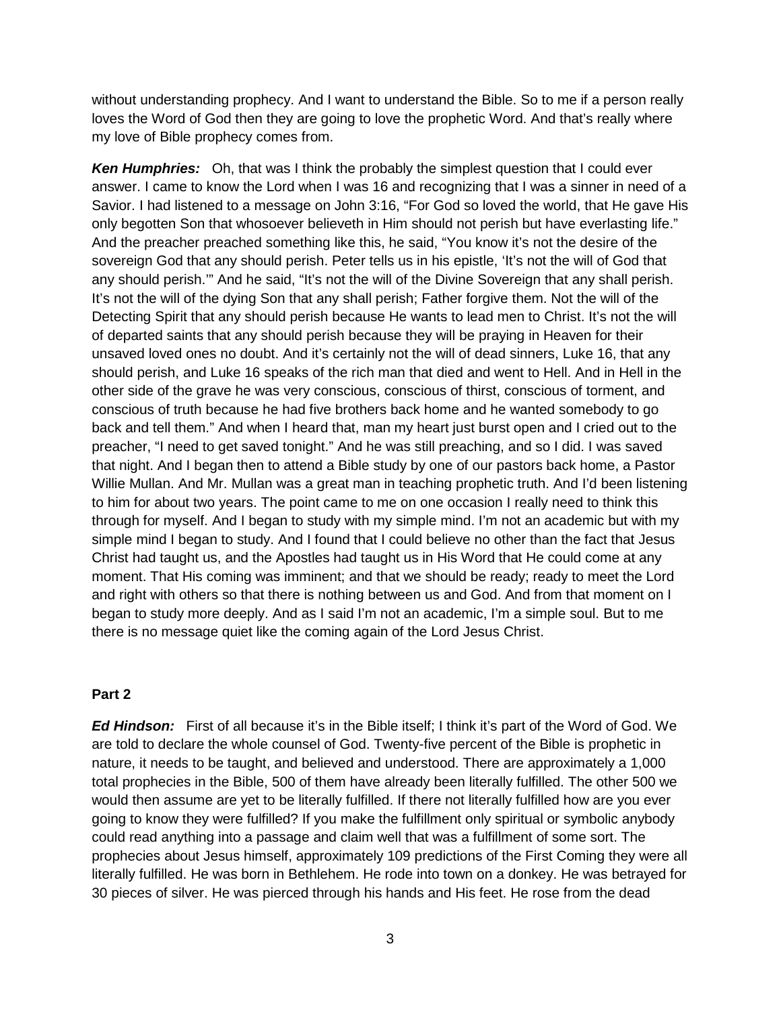without understanding prophecy. And I want to understand the Bible. So to me if a person really loves the Word of God then they are going to love the prophetic Word. And that's really where my love of Bible prophecy comes from.

*Ken Humphries:* Oh, that was I think the probably the simplest question that I could ever answer. I came to know the Lord when I was 16 and recognizing that I was a sinner in need of a Savior. I had listened to a message on John 3:16, "For God so loved the world, that He gave His only begotten Son that whosoever believeth in Him should not perish but have everlasting life." And the preacher preached something like this, he said, "You know it's not the desire of the sovereign God that any should perish. Peter tells us in his epistle, 'It's not the will of God that any should perish.'" And he said, "It's not the will of the Divine Sovereign that any shall perish. It's not the will of the dying Son that any shall perish; Father forgive them. Not the will of the Detecting Spirit that any should perish because He wants to lead men to Christ. It's not the will of departed saints that any should perish because they will be praying in Heaven for their unsaved loved ones no doubt. And it's certainly not the will of dead sinners, Luke 16, that any should perish, and Luke 16 speaks of the rich man that died and went to Hell. And in Hell in the other side of the grave he was very conscious, conscious of thirst, conscious of torment, and conscious of truth because he had five brothers back home and he wanted somebody to go back and tell them." And when I heard that, man my heart just burst open and I cried out to the preacher, "I need to get saved tonight." And he was still preaching, and so I did. I was saved that night. And I began then to attend a Bible study by one of our pastors back home, a Pastor Willie Mullan. And Mr. Mullan was a great man in teaching prophetic truth. And I'd been listening to him for about two years. The point came to me on one occasion I really need to think this through for myself. And I began to study with my simple mind. I'm not an academic but with my simple mind I began to study. And I found that I could believe no other than the fact that Jesus Christ had taught us, and the Apostles had taught us in His Word that He could come at any moment. That His coming was imminent; and that we should be ready; ready to meet the Lord and right with others so that there is nothing between us and God. And from that moment on I began to study more deeply. And as I said I'm not an academic, I'm a simple soul. But to me there is no message quiet like the coming again of the Lord Jesus Christ.

#### **Part 2**

*Ed Hindson:* First of all because it's in the Bible itself; I think it's part of the Word of God. We are told to declare the whole counsel of God. Twenty-five percent of the Bible is prophetic in nature, it needs to be taught, and believed and understood. There are approximately a 1,000 total prophecies in the Bible, 500 of them have already been literally fulfilled. The other 500 we would then assume are yet to be literally fulfilled. If there not literally fulfilled how are you ever going to know they were fulfilled? If you make the fulfillment only spiritual or symbolic anybody could read anything into a passage and claim well that was a fulfillment of some sort. The prophecies about Jesus himself, approximately 109 predictions of the First Coming they were all literally fulfilled. He was born in Bethlehem. He rode into town on a donkey. He was betrayed for 30 pieces of silver. He was pierced through his hands and His feet. He rose from the dead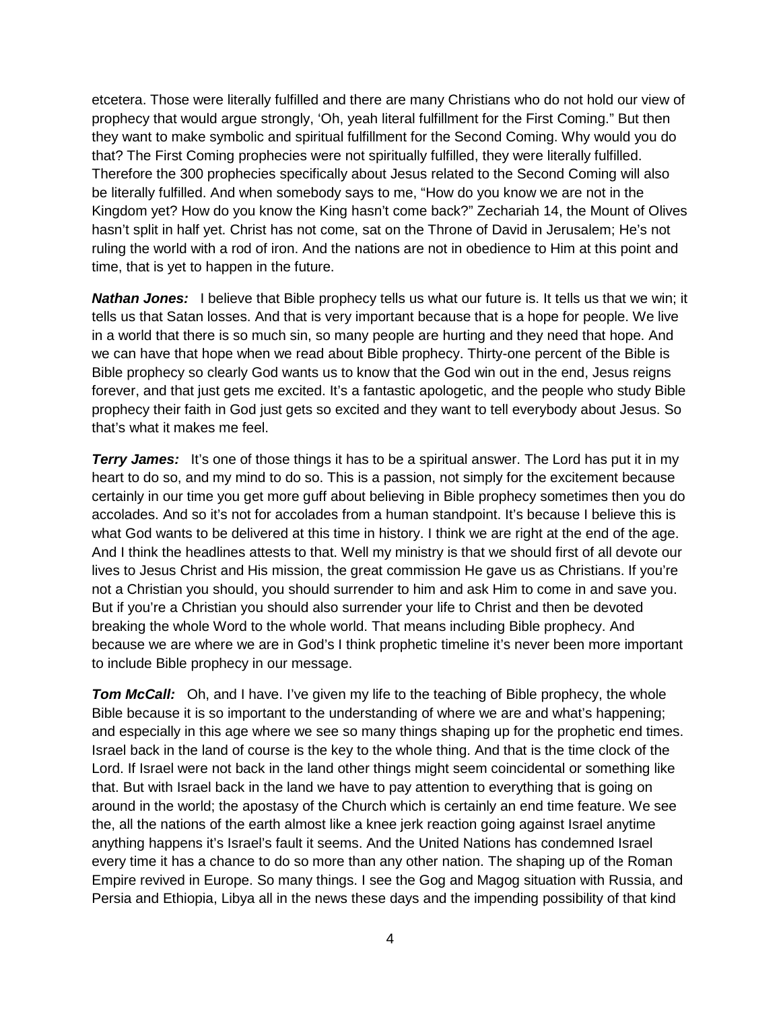etcetera. Those were literally fulfilled and there are many Christians who do not hold our view of prophecy that would argue strongly, 'Oh, yeah literal fulfillment for the First Coming." But then they want to make symbolic and spiritual fulfillment for the Second Coming. Why would you do that? The First Coming prophecies were not spiritually fulfilled, they were literally fulfilled. Therefore the 300 prophecies specifically about Jesus related to the Second Coming will also be literally fulfilled. And when somebody says to me, "How do you know we are not in the Kingdom yet? How do you know the King hasn't come back?" Zechariah 14, the Mount of Olives hasn't split in half yet. Christ has not come, sat on the Throne of David in Jerusalem; He's not ruling the world with a rod of iron. And the nations are not in obedience to Him at this point and time, that is yet to happen in the future.

*Nathan Jones:* I believe that Bible prophecy tells us what our future is. It tells us that we win; it tells us that Satan losses. And that is very important because that is a hope for people. We live in a world that there is so much sin, so many people are hurting and they need that hope. And we can have that hope when we read about Bible prophecy. Thirty-one percent of the Bible is Bible prophecy so clearly God wants us to know that the God win out in the end, Jesus reigns forever, and that just gets me excited. It's a fantastic apologetic, and the people who study Bible prophecy their faith in God just gets so excited and they want to tell everybody about Jesus. So that's what it makes me feel.

**Terry James:** It's one of those things it has to be a spiritual answer. The Lord has put it in my heart to do so, and my mind to do so. This is a passion, not simply for the excitement because certainly in our time you get more guff about believing in Bible prophecy sometimes then you do accolades. And so it's not for accolades from a human standpoint. It's because I believe this is what God wants to be delivered at this time in history. I think we are right at the end of the age. And I think the headlines attests to that. Well my ministry is that we should first of all devote our lives to Jesus Christ and His mission, the great commission He gave us as Christians. If you're not a Christian you should, you should surrender to him and ask Him to come in and save you. But if you're a Christian you should also surrender your life to Christ and then be devoted breaking the whole Word to the whole world. That means including Bible prophecy. And because we are where we are in God's I think prophetic timeline it's never been more important to include Bible prophecy in our message.

**Tom McCall:** Oh, and I have. I've given my life to the teaching of Bible prophecy, the whole Bible because it is so important to the understanding of where we are and what's happening; and especially in this age where we see so many things shaping up for the prophetic end times. Israel back in the land of course is the key to the whole thing. And that is the time clock of the Lord. If Israel were not back in the land other things might seem coincidental or something like that. But with Israel back in the land we have to pay attention to everything that is going on around in the world; the apostasy of the Church which is certainly an end time feature. We see the, all the nations of the earth almost like a knee jerk reaction going against Israel anytime anything happens it's Israel's fault it seems. And the United Nations has condemned Israel every time it has a chance to do so more than any other nation. The shaping up of the Roman Empire revived in Europe. So many things. I see the Gog and Magog situation with Russia, and Persia and Ethiopia, Libya all in the news these days and the impending possibility of that kind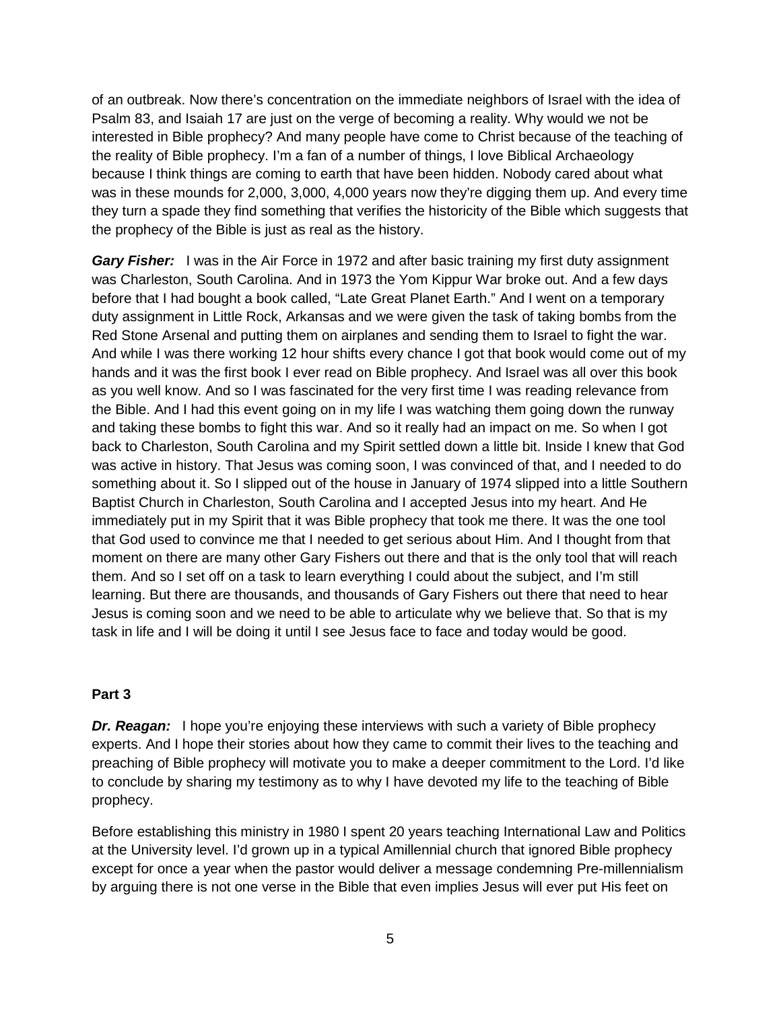of an outbreak. Now there's concentration on the immediate neighbors of Israel with the idea of Psalm 83, and Isaiah 17 are just on the verge of becoming a reality. Why would we not be interested in Bible prophecy? And many people have come to Christ because of the teaching of the reality of Bible prophecy. I'm a fan of a number of things, I love Biblical Archaeology because I think things are coming to earth that have been hidden. Nobody cared about what was in these mounds for 2,000, 3,000, 4,000 years now they're digging them up. And every time they turn a spade they find something that verifies the historicity of the Bible which suggests that the prophecy of the Bible is just as real as the history.

**Gary Fisher:** I was in the Air Force in 1972 and after basic training my first duty assignment was Charleston, South Carolina. And in 1973 the Yom Kippur War broke out. And a few days before that I had bought a book called, "Late Great Planet Earth." And I went on a temporary duty assignment in Little Rock, Arkansas and we were given the task of taking bombs from the Red Stone Arsenal and putting them on airplanes and sending them to Israel to fight the war. And while I was there working 12 hour shifts every chance I got that book would come out of my hands and it was the first book I ever read on Bible prophecy. And Israel was all over this book as you well know. And so I was fascinated for the very first time I was reading relevance from the Bible. And I had this event going on in my life I was watching them going down the runway and taking these bombs to fight this war. And so it really had an impact on me. So when I got back to Charleston, South Carolina and my Spirit settled down a little bit. Inside I knew that God was active in history. That Jesus was coming soon, I was convinced of that, and I needed to do something about it. So I slipped out of the house in January of 1974 slipped into a little Southern Baptist Church in Charleston, South Carolina and I accepted Jesus into my heart. And He immediately put in my Spirit that it was Bible prophecy that took me there. It was the one tool that God used to convince me that I needed to get serious about Him. And I thought from that moment on there are many other Gary Fishers out there and that is the only tool that will reach them. And so I set off on a task to learn everything I could about the subject, and I'm still learning. But there are thousands, and thousands of Gary Fishers out there that need to hear Jesus is coming soon and we need to be able to articulate why we believe that. So that is my task in life and I will be doing it until I see Jesus face to face and today would be good.

### **Part 3**

*Dr. Reagan:* I hope you're enjoying these interviews with such a variety of Bible prophecy experts. And I hope their stories about how they came to commit their lives to the teaching and preaching of Bible prophecy will motivate you to make a deeper commitment to the Lord. I'd like to conclude by sharing my testimony as to why I have devoted my life to the teaching of Bible prophecy.

Before establishing this ministry in 1980 I spent 20 years teaching International Law and Politics at the University level. I'd grown up in a typical Amillennial church that ignored Bible prophecy except for once a year when the pastor would deliver a message condemning Pre-millennialism by arguing there is not one verse in the Bible that even implies Jesus will ever put His feet on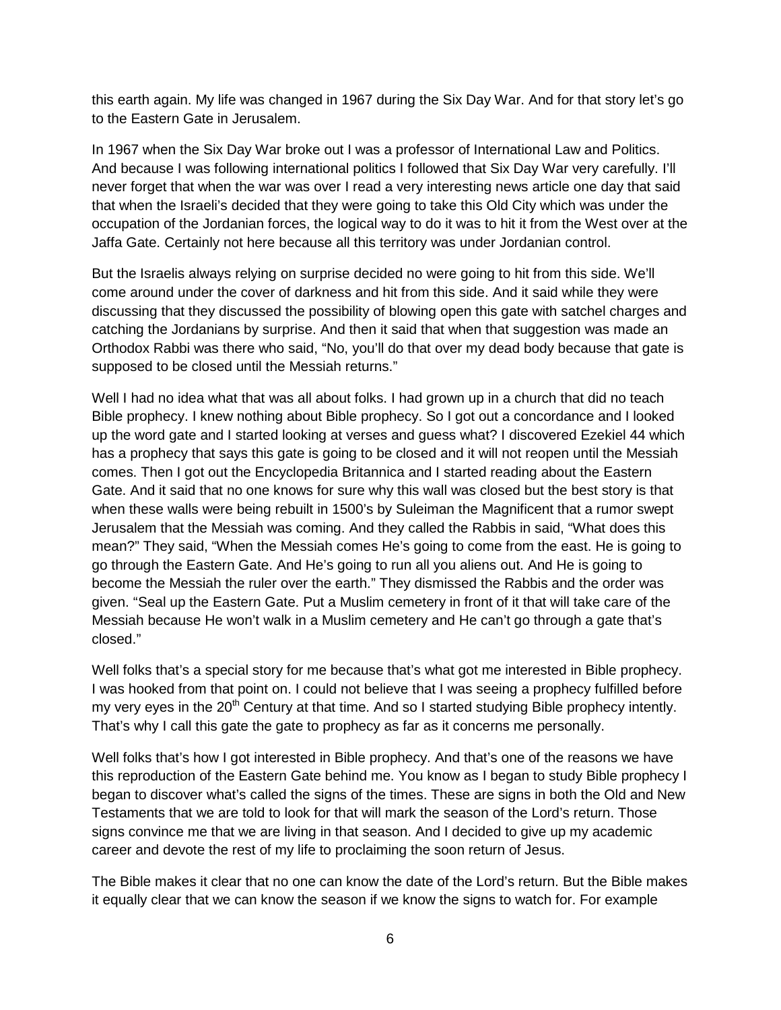this earth again. My life was changed in 1967 during the Six Day War. And for that story let's go to the Eastern Gate in Jerusalem.

In 1967 when the Six Day War broke out I was a professor of International Law and Politics. And because I was following international politics I followed that Six Day War very carefully. I'll never forget that when the war was over I read a very interesting news article one day that said that when the Israeli's decided that they were going to take this Old City which was under the occupation of the Jordanian forces, the logical way to do it was to hit it from the West over at the Jaffa Gate. Certainly not here because all this territory was under Jordanian control.

But the Israelis always relying on surprise decided no were going to hit from this side. We'll come around under the cover of darkness and hit from this side. And it said while they were discussing that they discussed the possibility of blowing open this gate with satchel charges and catching the Jordanians by surprise. And then it said that when that suggestion was made an Orthodox Rabbi was there who said, "No, you'll do that over my dead body because that gate is supposed to be closed until the Messiah returns."

Well I had no idea what that was all about folks. I had grown up in a church that did no teach Bible prophecy. I knew nothing about Bible prophecy. So I got out a concordance and I looked up the word gate and I started looking at verses and guess what? I discovered Ezekiel 44 which has a prophecy that says this gate is going to be closed and it will not reopen until the Messiah comes. Then I got out the Encyclopedia Britannica and I started reading about the Eastern Gate. And it said that no one knows for sure why this wall was closed but the best story is that when these walls were being rebuilt in 1500's by Suleiman the Magnificent that a rumor swept Jerusalem that the Messiah was coming. And they called the Rabbis in said, "What does this mean?" They said, "When the Messiah comes He's going to come from the east. He is going to go through the Eastern Gate. And He's going to run all you aliens out. And He is going to become the Messiah the ruler over the earth." They dismissed the Rabbis and the order was given. "Seal up the Eastern Gate. Put a Muslim cemetery in front of it that will take care of the Messiah because He won't walk in a Muslim cemetery and He can't go through a gate that's closed."

Well folks that's a special story for me because that's what got me interested in Bible prophecy. I was hooked from that point on. I could not believe that I was seeing a prophecy fulfilled before my very eyes in the  $20<sup>th</sup>$  Century at that time. And so I started studying Bible prophecy intently. That's why I call this gate the gate to prophecy as far as it concerns me personally.

Well folks that's how I got interested in Bible prophecy. And that's one of the reasons we have this reproduction of the Eastern Gate behind me. You know as I began to study Bible prophecy I began to discover what's called the signs of the times. These are signs in both the Old and New Testaments that we are told to look for that will mark the season of the Lord's return. Those signs convince me that we are living in that season. And I decided to give up my academic career and devote the rest of my life to proclaiming the soon return of Jesus.

The Bible makes it clear that no one can know the date of the Lord's return. But the Bible makes it equally clear that we can know the season if we know the signs to watch for. For example